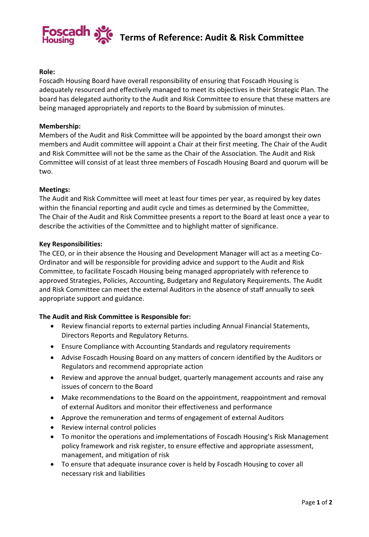

## **Role:**

Foscadh Housing Board have overall responsibility of ensuring that Foscadh Housing is adequately resourced and effectively managed to meet its objectives in their Strategic Plan. The board has delegated authority to the Audit and Risk Committee to ensure that these matters are being managed appropriately and reports to the Board by submission of minutes.

#### **Membership:**

Members of the Audit and Risk Committee will be appointed by the board amongst their own members and Audit committee will appoint a Chair at their first meeting. The Chair of the Audit and Risk Committee will not be the same as the Chair of the Association. The Audit and Risk Committee will consist of at least three members of Foscadh Housing Board and quorum will be two.

### **Meetings:**

The Audit and Risk Committee will meet at least four times per year, as required by key dates within the financial reporting and audit cycle and times as determined by the Committee, The Chair of the Audit and Risk Committee presents a report to the Board at least once a year to describe the activities of the Committee and to highlight matter of significance.

#### **Key Responsibilities:**

The CEO, or in their absence the Housing and Development Manager will act as a meeting Co-Ordinator and will be responsible for providing advice and support to the Audit and Risk Committee, to facilitate Foscadh Housing being managed appropriately with reference to approved Strategies, Policies, Accounting, Budgetary and Regulatory Requirements. The Audit and Risk Committee can meet the external Auditors in the absence of staff annually to seek appropriate support and guidance.

# **The Audit and Risk Committee is Responsible for:**

- Review financial reports to external parties including Annual Financial Statements, Directors Reports and Regulatory Returns.
- Ensure Compliance with Accounting Standards and regulatory requirements
- Advise Foscadh Housing Board on any matters of concern identified by the Auditors or Regulators and recommend appropriate action
- Review and approve the annual budget, quarterly management accounts and raise any issues of concern to the Board
- Make recommendations to the Board on the appointment, reappointment and removal of external Auditors and monitor their effectiveness and performance
- Approve the remuneration and terms of engagement of external Auditors
- Review internal control policies
- To monitor the operations and implementations of Foscadh Housing's Risk Management policy framework and risk register, to ensure effective and appropriate assessment, management, and mitigation of risk
- To ensure that adequate insurance cover is held by Foscadh Housing to cover all necessary risk and liabilities